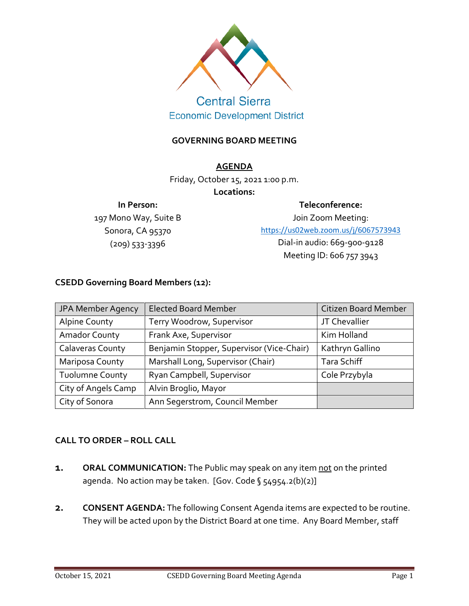

# **Central Sierra Economic Development District**

### **GOVERNING BOARD MEETING**

#### **AGENDA**

Friday, October 15, 2021 1:00 p.m.

#### **Locations:**

#### **In Person:**

197 Mono Way, Suite B Sonora, CA 95370 (209) 533-3396

**Teleconference:**

Join Zoom Meeting: <https://us02web.zoom.us/j/6067573943> Dial-in audio: 669-900-9128 Meeting ID: 606 757 3943

### **CSEDD Governing Board Members (12):**

| JPA Member Agency       | <b>Elected Board Member</b>               | Citizen Board Member |
|-------------------------|-------------------------------------------|----------------------|
| <b>Alpine County</b>    | Terry Woodrow, Supervisor                 | JT Chevallier        |
| <b>Amador County</b>    | Frank Axe, Supervisor                     | Kim Holland          |
| <b>Calaveras County</b> | Benjamin Stopper, Supervisor (Vice-Chair) | Kathryn Gallino      |
| Mariposa County         | Marshall Long, Supervisor (Chair)         | Tara Schiff          |
| <b>Tuolumne County</b>  | Ryan Campbell, Supervisor                 | Cole Przybyla        |
| City of Angels Camp     | Alvin Broglio, Mayor                      |                      |
| City of Sonora          | Ann Segerstrom, Council Member            |                      |

# **CALL TO ORDER – ROLL CALL**

- **1. ORAL COMMUNICATION:** The Public may speak on any item not on the printed agenda. No action may be taken. [Gov. Code § 54954.2(b)(2)]
- **2. CONSENT AGENDA:** The following Consent Agenda items are expected to be routine. They will be acted upon by the District Board at one time. Any Board Member, staff